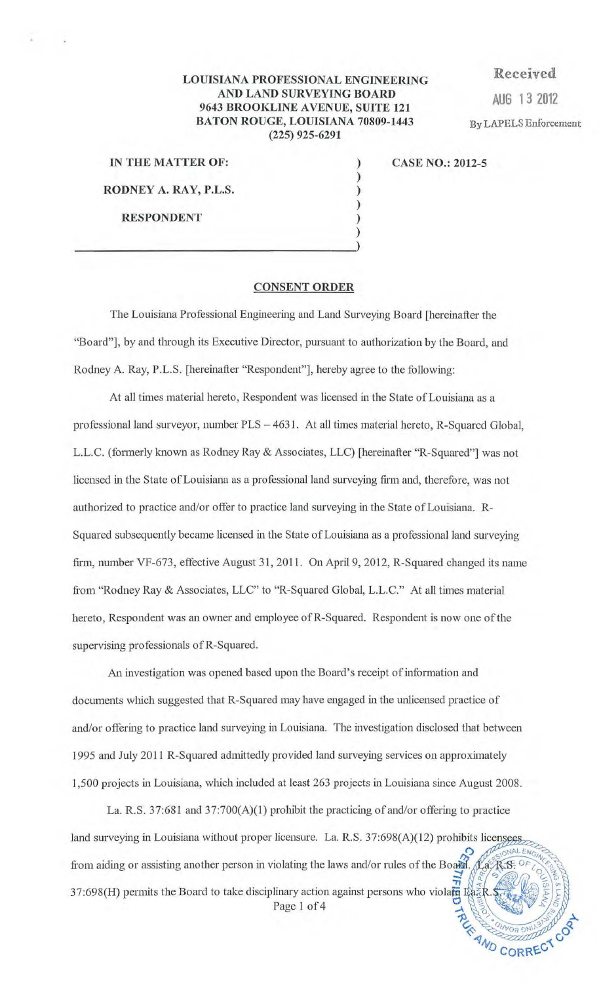## LOUISIANA PROFESSIONAL ENGINEERING AND LAND SURVEYING BOARD AND LAND SURVEYING BOARD<br>9643 BROOKLINE AVENUE, SUITE 121 BATON ROUGE, LOUISIANA 70809-1443 (225) 925-6291

) ) ) ) )

Received By LAPELS Enforcement

| IN THE MATTER OF:     |
|-----------------------|
| RODNEY A. RAY, P.L.S. |
| <b>RESPONDENT</b>     |

)  $\frac{1}{2}$ 

CASE NO.: 2012-5

## CONSENT ORDER

The Louisiana Professional Engineering and Land Surveying Board [hereinafter the "Board"], by and through its Executive Director, pursuant to authorization by the Board, and Rodney A. Ray, P.L.S. [hereinafter "Respondent"], hereby agree to the following:

At all times material hereto, Respondent was licensed in the State of Louisiana as a professional land surveyor, number PLS - 4631. At all times material hereto, R-Squared Global, L.L.C. (fonnerly known as Rodney Ray & Associates, LLC) [hereinafter "R-Squared"] was not licensed in the State of Louisiana as a professional land surveying firm and, therefore, was not authorized to practice and/or offer to practice land surveying in the State of Louisiana. R-Squared subsequently became licensed in the State of Louisiana as a professional land surveying firm, number VF-673, effective August 31, 2011. On April 9, 2012, R-Squared changed its name from "Rodney Ray & Associates, LLC" to "R-Squared Global, L.L.C." At all times material hereto, Respondent was an owner and employee ofR-Squared. Respondent is now one of the supervising professionals of R-Squared.

An investigation was opened based upon the Board's receipt of information and documents which suggested that R-Squared may have engaged in the unlicensed practice of and/or offering to practice land surveying in Louisiana. The investigation disclosed that between 1995 and July 2011 R-Squared admittedly provided land surveying services on approximately 1,500 projects in Louisiana, which included at least 263 projects in Louisiana since August 2008.

La. R.S. 37:681 and 37:700(A)(1) prohibit the practicing of and/or offering to practice land surveying in Louisiana without proper licensure. La. R.S. 37:698(A)(12) prohibits licensees from aiding or assisting another person in violating the laws and/or rules of the Board. Na, R.S. 37:698(H) permits the Board to take disciplinary action against persons who violate  $\mathbb{R}$ Page 1 of 4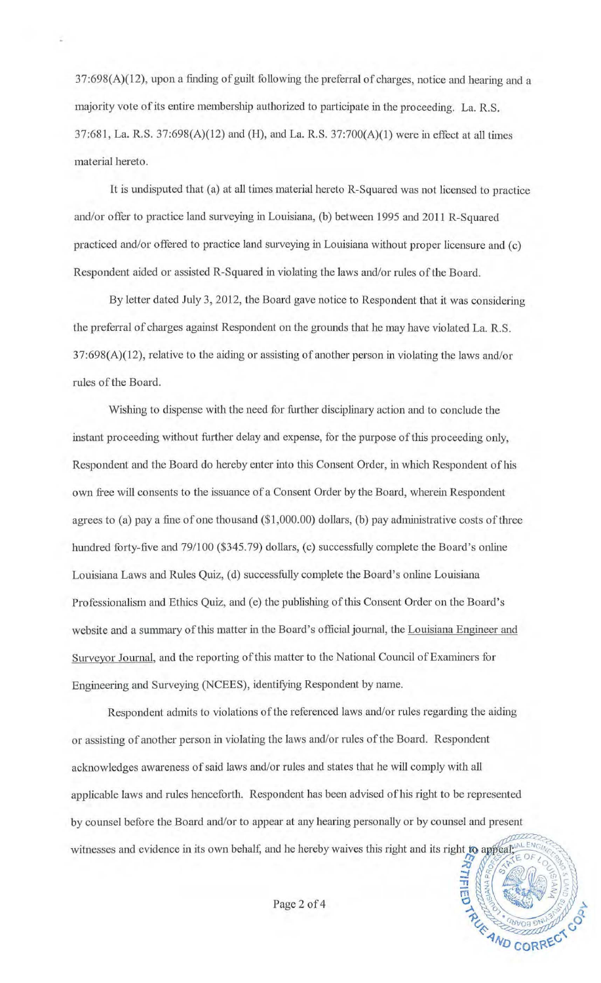37:698(A)(l2), upon a finding of guilt following the prefenal of charges, notice and hearing and a majority vote of its entire membership authorized to participate in the proceeding. La. R.S. 37:68 1, La. R.S. 37:698(A)(12) and (H), and La. R.S. 37:700(A)(l) were in effect at all times material hereto.

It is undisputed that (a) at all times material hereto R-Squared was not licensed to practice and/or offer to practice land surveying in Louisiana, (b) between 1995 and 2011 R-Squared practiced and/or offered to practice land surveying in Louisiana without proper licensure and (c) Respondent aided or assisted R-Squared in violating the laws and/or rules of the Board.

By letter dated July 3, 2012, the Board gave notice to Respondent that it was considering the prefenal of charges against Respondent on the grounds that he may have violated La. R.S. 37:698(A)(12), relative to the aiding or assisting of another person in violating the laws and/or rules of the Board.

Wishing to dispense with the need for further disciplinary action and to conclude the instant proceeding without further delay and expense, for the purpose of this proceeding only, Respondent and the Board do hereby enter into this Consent Order, in which Respondent of his own free will consents to the issuance of a Consent Order by the Board, wherein Respondent agrees to (a) pay a fine of one thousand ( $$1,000.00$ ) dollars, (b) pay administrative costs of three hundred forty-five and 79/100 (\$345.79) dollars, (c) successfully complete the Board's online Louisiana Laws and Rules Quiz, (d) successfully complete the Board's online Louisiana Professionalism and Ethics Quiz, and (e) the publishing of this Consent Order on the Board's website and a summary of this matter in the Board's official journal, the Louisiana Engineer and Surveyor Journal, and the reporting of this matter to the National Council of Examiners for Engineering and Surveying (NCEES), identifying Respondent by name.

Respondent admits to violations of the referenced laws and/or rules regarding the aiding or assisting of another person in violating the laws and/or rules of the Board. Respondent acknowledges awareness of said laws and/or rules and states that he will comply with all applicable laws and rules henceforth. Respondent has been advised of his right to be represented by counsel before the Board and/or to appear at any hearing personally or by counsel and present witnesses and evidence in its own behalf, and he hereby waives this right and its right to appeal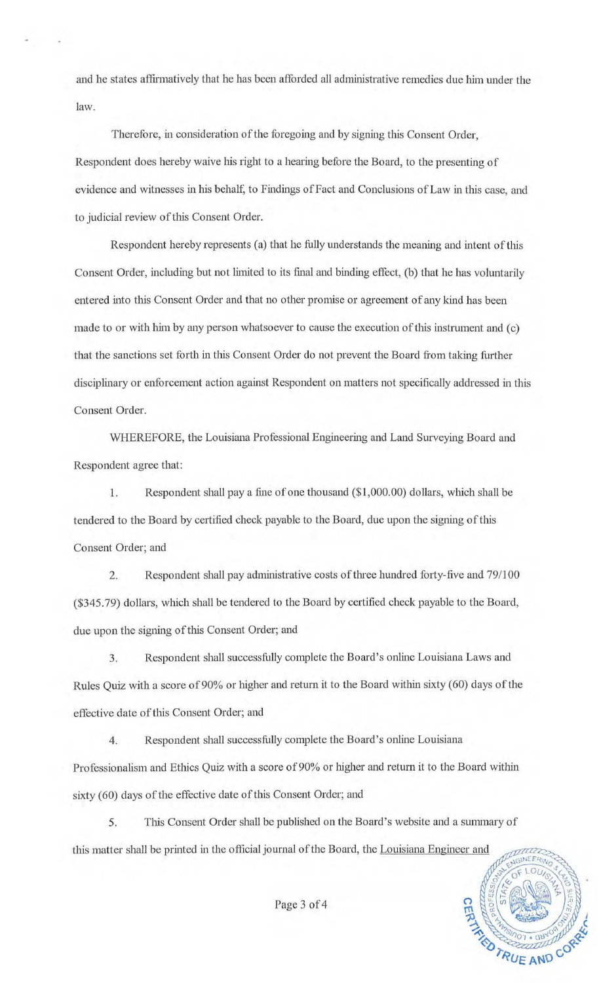and he states affirmatively that he has been afforded all administrative remedies due him under the law.

Therefore, in consideration of the foregoing and by signing this Consent Order, Respondent does hereby waive his right to a hearing before the Board, to the presenting of evidence and witnesses in his behalf, to Findings of Fact and Conclusions of Law in this case, and to judicial review of this Consent Order.

Respondent hereby represents (a) that he fully understands the meaning and intent of this Consent Order, including but not limited to its final and binding effect, (b) that he has voluntarily entered into this Consent Order and that no other promise or agreement of any kind has been made to or with him by any person whatsoever to cause the execution of this instrument and (c) that the sanctions set forth in this Consent Order do not prevent the Board from taking further disciplinary or enforcement action against Respondent on matters not specifically addressed in this Consent Order.

WHEREFORE, the Louisiana Professional Engineering and Land Surveying Board and Respondent agree that:

1. Respondent shall pay a fine of one thousand (\$1,000.00) dollars, which shall be tendered to the Board by certified check payable to the Board, due upon the signing of this Consent Order; and

2. Respondent shall pay administrative costs of three hundred forty-five and 79/100 (\$345.79) dollars, which shall be tendered to the Board by certified check payable to the Board, due upon the signing of this Consent Order; and

3. Respondent shall successfully complete the Board's online Louisiana Laws and Rules Quiz with a score of 90% or higher and return it to the Board within sixty (60) days of the effective date of this Consent Order; and

4. Respondent shall successfully complete the Board's online Louisiana Professionalism and Ethics Quiz with a score of 90% or higher and return it to the Board within sixty (60) days of the effective date of this Consent Order; and

5. Tllis Consent Order shall be published on the Board's website and a sununary of this matter shall be printed in the official journal of the Board, the Louisiana Engineer and



Page 3 of 4